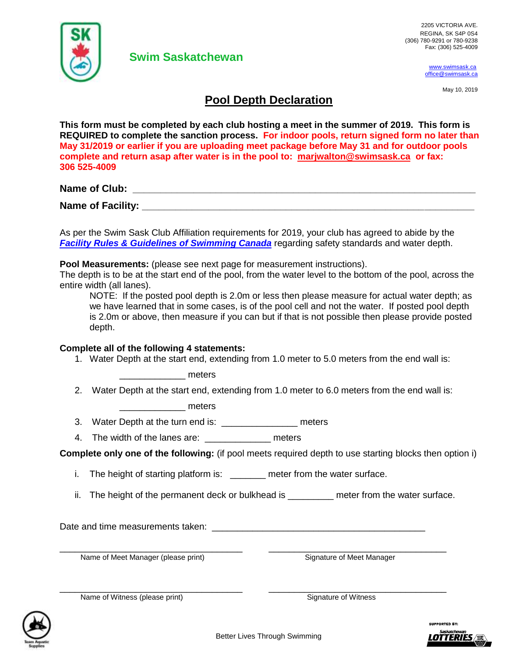

[www.swimsask.ca](http://www.swimsask.ca/) [office@swimsask.ca](mailto:office@swimsask.ca)

May 10, 2019

## **Pool Depth Declaration**

**This form must be completed by each club hosting a meet in the summer of 2019. This form is REQUIRED to complete the sanction process. For indoor pools, return signed form no later than May 31/2019 or earlier if you are uploading meet package before May 31 and for outdoor pools complete and return asap after water is in the pool to: [marjwalton@swimsask.ca](mailto:marjwalton@swimsask.ca) or fax: 306 525-4009**

**Name of Club: \_\_\_\_\_\_\_\_\_\_\_\_\_\_\_\_\_\_\_\_\_\_\_\_\_\_\_\_\_\_\_\_\_\_\_\_\_\_\_\_\_\_\_\_\_\_\_\_\_\_\_\_\_\_\_\_\_\_\_\_\_\_**

**Name of Facility:**  $\blacksquare$ 

As per the Swim Sask Club Affiliation requirements for 2019, your club has agreed to abide by the *[Facility Rules & Guidelines of Swimming Canada](https://swimming.ca/content/uploads/2018/04/FACILITY-RULES_final_20180426.pdf)* regarding safety standards and water depth.

**Pool Measurements:** (please see next page for measurement instructions).

**Swim Saskatchewan** 

The depth is to be at the start end of the pool, from the water level to the bottom of the pool, across the entire width (all lanes).

NOTE: If the posted pool depth is 2.0m or less then please measure for actual water depth; as we have learned that in some cases, is of the pool cell and not the water. If posted pool depth is 2.0m or above, then measure if you can but if that is not possible then please provide posted depth.

## **Complete all of the following 4 statements:**

1. Water Depth at the start end, extending from 1.0 meter to 5.0 meters from the end wall is:

\_\_\_\_\_\_\_\_\_\_\_\_\_ meters

2. Water Depth at the start end, extending from 1.0 meter to 6.0 meters from the end wall is:

\_\_\_\_\_\_\_\_\_\_\_\_\_ meters

- 3. Water Depth at the turn end is: \_\_\_\_\_\_\_\_\_\_\_\_\_\_\_ meters
- 4. The width of the lanes are: example are meters

**Complete only one of the following:** (if pool meets required depth to use starting blocks then option i)

- i. The height of starting platform is: \_\_\_\_\_\_\_ meter from the water surface.
- ii. The height of the permanent deck or bulkhead is each meter from the water surface.

Date and time measurements taken: \_\_\_\_\_\_\_\_\_\_\_\_\_\_\_\_\_\_\_\_\_\_\_\_\_\_\_\_\_\_\_\_\_\_\_\_\_\_\_\_\_\_

\_\_\_\_\_\_\_\_\_\_\_\_\_\_\_\_\_\_\_\_\_\_\_\_\_\_\_\_\_\_\_\_\_\_\_\_ \_\_\_\_\_\_\_\_\_\_\_\_\_\_\_\_\_\_\_\_\_\_\_\_\_\_\_\_\_\_\_\_\_\_\_ Name of Meet Manager (please print) Signature of Meet Manager



Name of Witness (please print) Signature of Witness



\_\_\_\_\_\_\_\_\_\_\_\_\_\_\_\_\_\_\_\_\_\_\_\_\_\_\_\_\_\_\_\_\_\_\_\_ \_\_\_\_\_\_\_\_\_\_\_\_\_\_\_\_\_\_\_\_\_\_\_\_\_\_\_\_\_\_\_\_\_\_\_